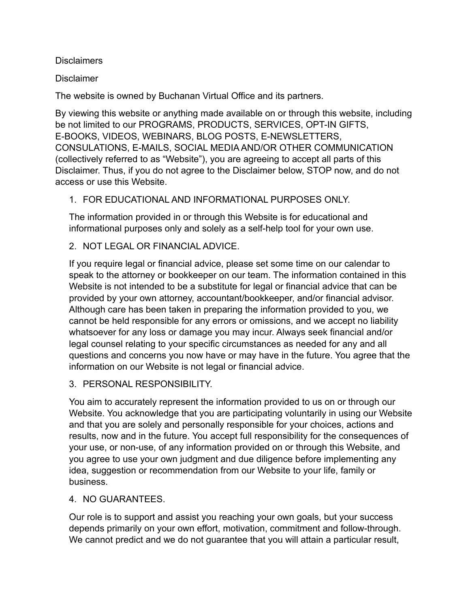#### **Disclaimers**

#### **Disclaimer**

The website is owned by Buchanan Virtual Office and its partners.

By viewing this website or anything made available on or through this website, including be not limited to our PROGRAMS, PRODUCTS, SERVICES, OPT-IN GIFTS, E-BOOKS, VIDEOS, WEBINARS, BLOG POSTS, E-NEWSLETTERS, CONSULATIONS, E-MAILS, SOCIAL MEDIA AND/OR OTHER COMMUNICATION (collectively referred to as "Website"), you are agreeing to accept all parts of this Disclaimer. Thus, if you do not agree to the Disclaimer below, STOP now, and do not access or use this Website.

# 1. FOR EDUCATIONAL AND INFORMATIONAL PURPOSES ONLY.

The information provided in or through this Website is for educational and informational purposes only and solely as a self-help tool for your own use.

# 2. NOT LEGAL OR FINANCIAL ADVICE.

If you require legal or financial advice, please set some time on our calendar to speak to the attorney or bookkeeper on our team. The information contained in this Website is not intended to be a substitute for legal or financial advice that can be provided by your own attorney, accountant/bookkeeper, and/or financial advisor. Although care has been taken in preparing the information provided to you, we cannot be held responsible for any errors or omissions, and we accept no liability whatsoever for any loss or damage you may incur. Always seek financial and/or legal counsel relating to your specific circumstances as needed for any and all questions and concerns you now have or may have in the future. You agree that the information on our Website is not legal or financial advice.

## 3. PERSONAL RESPONSIBILITY.

You aim to accurately represent the information provided to us on or through our Website. You acknowledge that you are participating voluntarily in using our Website and that you are solely and personally responsible for your choices, actions and results, now and in the future. You accept full responsibility for the consequences of your use, or non-use, of any information provided on or through this Website, and you agree to use your own judgment and due diligence before implementing any idea, suggestion or recommendation from our Website to your life, family or business.

## 4. NO GUARANTEES.

Our role is to support and assist you reaching your own goals, but your success depends primarily on your own effort, motivation, commitment and follow-through. We cannot predict and we do not guarantee that you will attain a particular result,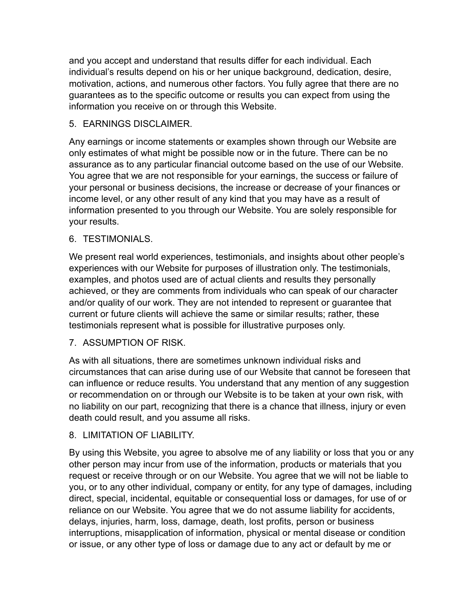and you accept and understand that results differ for each individual. Each individual's results depend on his or her unique background, dedication, desire, motivation, actions, and numerous other factors. You fully agree that there are no guarantees as to the specific outcome or results you can expect from using the information you receive on or through this Website.

## 5. EARNINGS DISCLAIMER.

Any earnings or income statements or examples shown through our Website are only estimates of what might be possible now or in the future. There can be no assurance as to any particular financial outcome based on the use of our Website. You agree that we are not responsible for your earnings, the success or failure of your personal or business decisions, the increase or decrease of your finances or income level, or any other result of any kind that you may have as a result of information presented to you through our Website. You are solely responsible for your results.

## 6. TESTIMONIALS.

We present real world experiences, testimonials, and insights about other people's experiences with our Website for purposes of illustration only. The testimonials, examples, and photos used are of actual clients and results they personally achieved, or they are comments from individuals who can speak of our character and/or quality of our work. They are not intended to represent or guarantee that current or future clients will achieve the same or similar results; rather, these testimonials represent what is possible for illustrative purposes only.

## 7. ASSUMPTION OF RISK.

As with all situations, there are sometimes unknown individual risks and circumstances that can arise during use of our Website that cannot be foreseen that can influence or reduce results. You understand that any mention of any suggestion or recommendation on or through our Website is to be taken at your own risk, with no liability on our part, recognizing that there is a chance that illness, injury or even death could result, and you assume all risks.

## 8. LIMITATION OF LIABILITY.

By using this Website, you agree to absolve me of any liability or loss that you or any other person may incur from use of the information, products or materials that you request or receive through or on our Website. You agree that we will not be liable to you, or to any other individual, company or entity, for any type of damages, including direct, special, incidental, equitable or consequential loss or damages, for use of or reliance on our Website. You agree that we do not assume liability for accidents, delays, injuries, harm, loss, damage, death, lost profits, person or business interruptions, misapplication of information, physical or mental disease or condition or issue, or any other type of loss or damage due to any act or default by me or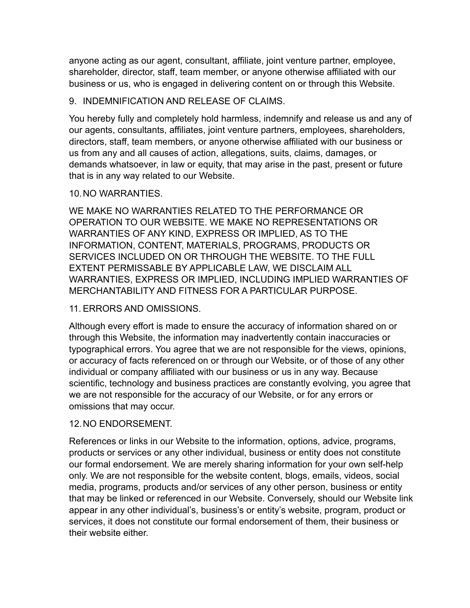anyone acting as our agent, consultant, affiliate, joint venture partner, employee, shareholder, director, staff, team member, or anyone otherwise affiliated with our business or us, who is engaged in delivering content on or through this Website.

## 9. INDEMNIFICATION AND RELEASE OF CLAIMS.

You hereby fully and completely hold harmless, indemnify and release us and any of our agents, consultants, affiliates, joint venture partners, employees, shareholders, directors, staff, team members, or anyone otherwise affiliated with our business or us from any and all causes of action, allegations, suits, claims, damages, or demands whatsoever, in law or equity, that may arise in the past, present or future that is in any way related to our Website.

#### 10.NO WARRANTIES.

WE MAKE NO WARRANTIES RELATED TO THE PERFORMANCE OR OPERATION TO OUR WEBSITE. WE MAKE NO REPRESENTATIONS OR WARRANTIES OF ANY KIND, EXPRESS OR IMPLIED, AS TO THE INFORMATION, CONTENT, MATERIALS, PROGRAMS, PRODUCTS OR SERVICES INCLUDED ON OR THROUGH THE WEBSITE. TO THE FULL EXTENT PERMISSABLE BY APPLICABLE LAW, WE DISCLAIM ALL WARRANTIES, EXPRESS OR IMPLIED, INCLUDING IMPLIED WARRANTIES OF MERCHANTABILITY AND FITNESS FOR A PARTICULAR PURPOSE.

## 11. ERRORS AND OMISSIONS.

Although every effort is made to ensure the accuracy of information shared on or through this Website, the information may inadvertently contain inaccuracies or typographical errors. You agree that we are not responsible for the views, opinions, or accuracy of facts referenced on or through our Website, or of those of any other individual or company affiliated with our business or us in any way. Because scientific, technology and business practices are constantly evolving, you agree that we are not responsible for the accuracy of our Website, or for any errors or omissions that may occur.

## 12.NO ENDORSEMENT.

References or links in our Website to the information, options, advice, programs, products or services or any other individual, business or entity does not constitute our formal endorsement. We are merely sharing information for your own self-help only. We are not responsible for the website content, blogs, emails, videos, social media, programs, products and/or services of any other person, business or entity that may be linked or referenced in our Website. Conversely, should our Website link appear in any other individual's, business's or entity's website, program, product or services, it does not constitute our formal endorsement of them, their business or their website either.